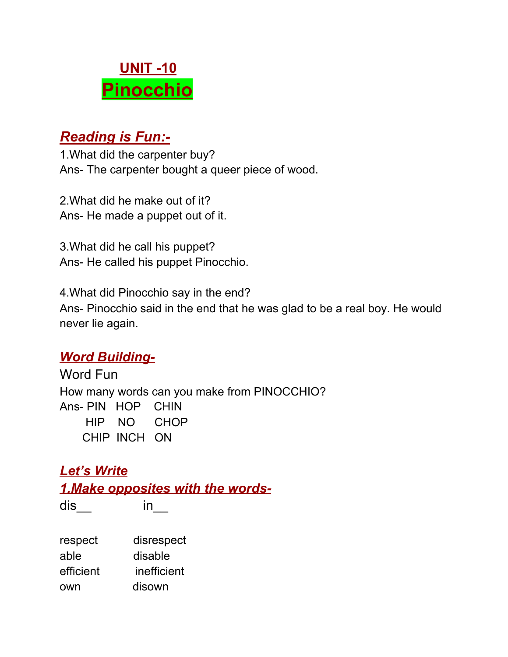# **UNIT -10 Pinocchio**

## *Reading is Fun:-*

1.What did the carpenter buy? Ans- The carpenter bought a queer piece of wood.

2.What did he make out of it? Ans- He made a puppet out of it.

3.What did he call his puppet? Ans- He called his puppet Pinocchio.

4.What did Pinocchio say in the end? Ans- Pinocchio said in the end that he was glad to be a real boy. He would never lie again.

#### *Word Building-*

Word Fun How many words can you make from PINOCCHIO? Ans- PIN HOP CHIN HIP NO CHOP CHIP INCH ON

#### *Let's Write 1.Make opposites with the words-*

dis\_\_ in\_\_

| respect   | disrespect  |
|-----------|-------------|
| able      | disable     |
| efficient | inefficient |
| own       | disown      |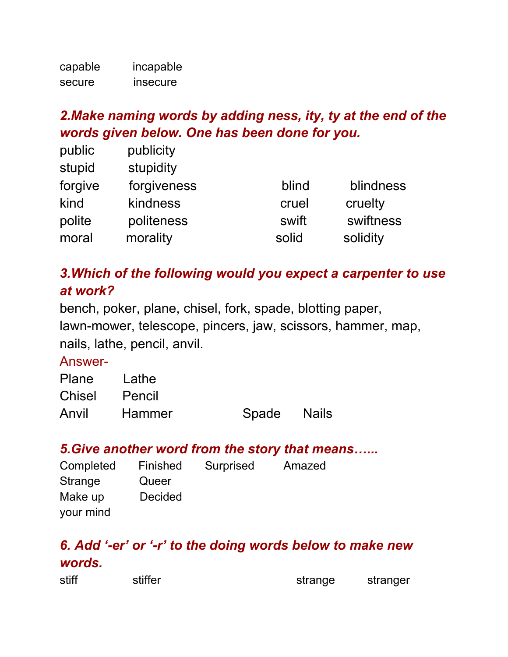| capable | incapable |
|---------|-----------|
| secure  | insecure  |

## *2.Make naming words by adding ness, ity, ty at the end of the words given below. One has been done for you.*

| public  | publicity   |       |           |
|---------|-------------|-------|-----------|
| stupid  | stupidity   |       |           |
| forgive | forgiveness | blind | blindness |
| kind    | kindness    | cruel | cruelty   |
| polite  | politeness  | swift | swiftness |
| moral   | morality    | solid | solidity  |

### *3.Which of the following would you expect a carpenter to use at work?*

bench, poker, plane, chisel, fork, spade, blotting paper, lawn-mower, telescope, pincers, jaw, scissors, hammer, map, nails, lathe, pencil, anvil.

#### Answer-

| Plane Lathe   |        |             |  |
|---------------|--------|-------------|--|
| Chisel Pencil |        |             |  |
| Anvil         | Hammer | Spade Nails |  |

#### *5.Give another word from the story that means…...*

| Completed | Finished       | Surprised | Amazed |
|-----------|----------------|-----------|--------|
| Strange   | Queer          |           |        |
| Make up   | <b>Decided</b> |           |        |
| your mind |                |           |        |

### *6. Add '-er' or '-r' to the doing words below to make new words.*

| strange | stranger |
|---------|----------|
|         |          |